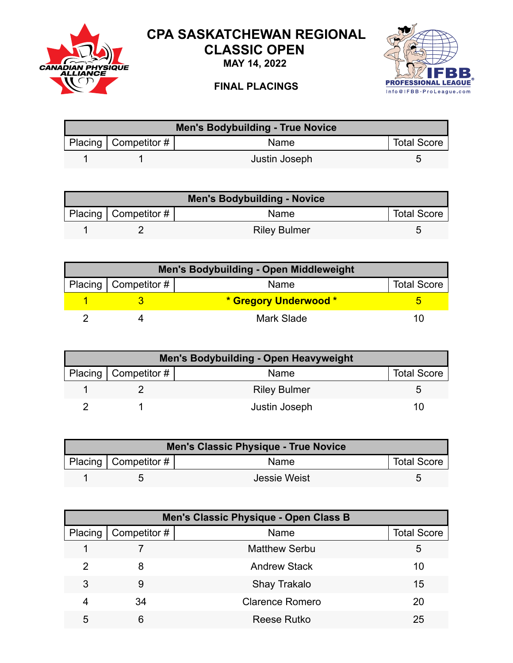

## **CPA SASKATCHEWAN REGIONAL CLASSIC OPEN**

**MAY 14, 2022**



## **FINAL PLACINGS**

| <b>Men's Bodybuilding - True Novice</b> |                          |               |                    |  |
|-----------------------------------------|--------------------------|---------------|--------------------|--|
|                                         | Placing   Competitor $#$ | <b>Name</b>   | <b>Total Score</b> |  |
|                                         |                          | Justin Joseph | ∽                  |  |

| <b>Men's Bodybuilding - Novice</b> |                        |                     |                    |  |
|------------------------------------|------------------------|---------------------|--------------------|--|
|                                    | Placing   Competitor # | <b>Name</b>         | <b>Total Score</b> |  |
|                                    |                        | <b>Riley Bulmer</b> |                    |  |

| <b>Men's Bodybuilding - Open Middleweight</b> |                          |                       |                    |  |
|-----------------------------------------------|--------------------------|-----------------------|--------------------|--|
|                                               | Placing   Competitor $#$ | Name                  | <b>Total Score</b> |  |
|                                               |                          | * Gregory Underwood * |                    |  |
|                                               |                          | <b>Mark Slade</b>     | .                  |  |

| <b>Men's Bodybuilding - Open Heavyweight</b> |                        |                     |                    |  |
|----------------------------------------------|------------------------|---------------------|--------------------|--|
|                                              | Placing   Competitor # | Name                | <b>Total Score</b> |  |
|                                              |                        | <b>Riley Bulmer</b> |                    |  |
|                                              |                        | Justin Joseph       |                    |  |

| Men's Classic Physique - True Novice |                           |              |                    |  |
|--------------------------------------|---------------------------|--------------|--------------------|--|
|                                      | Placing   Competitor $\#$ | Name         | <b>Total Score</b> |  |
|                                      |                           | Jessie Weist |                    |  |

|         | Men's Classic Physique - Open Class B |                        |                    |  |  |
|---------|---------------------------------------|------------------------|--------------------|--|--|
| Placing | Competitor #                          | Name                   | <b>Total Score</b> |  |  |
|         |                                       | <b>Matthew Serbu</b>   | 5                  |  |  |
| 2       | 8                                     | <b>Andrew Stack</b>    | 10                 |  |  |
| 3       | 9                                     | Shay Trakalo           | 15                 |  |  |
| 4       | 34                                    | <b>Clarence Romero</b> | 20                 |  |  |
| 5       | 6                                     | <b>Reese Rutko</b>     | 25                 |  |  |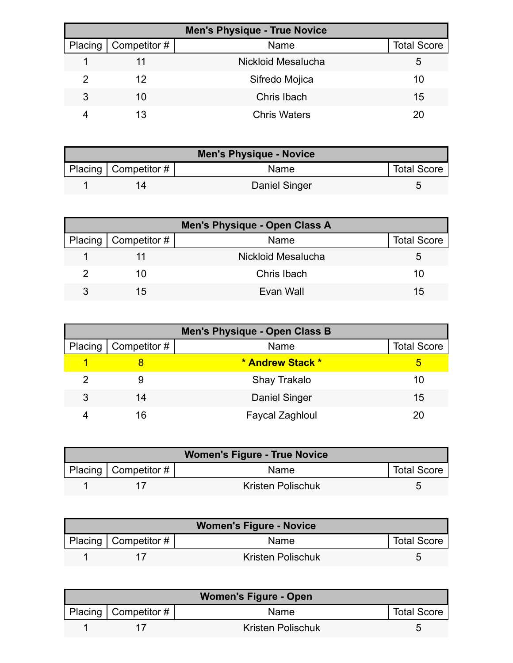| <b>Men's Physique - True Novice</b> |                        |                     |                    |  |
|-------------------------------------|------------------------|---------------------|--------------------|--|
|                                     | Placing   Competitor # | Name                | <b>Total Score</b> |  |
|                                     |                        | Nickloid Mesalucha  | 5                  |  |
|                                     | 12                     | Sifredo Mojica      | 10                 |  |
| 3                                   | 10                     | Chris Ibach         | 15                 |  |
|                                     | 13                     | <b>Chris Waters</b> | 20                 |  |

| <b>Men's Physique - Novice</b> |                          |                      |                    |
|--------------------------------|--------------------------|----------------------|--------------------|
|                                | Placing   Competitor $#$ | Name                 | <b>Total Score</b> |
|                                |                          | <b>Daniel Singer</b> |                    |

| Men's Physique - Open Class A |                              |                    |                    |  |
|-------------------------------|------------------------------|--------------------|--------------------|--|
|                               | Placing $\vert$ Competitor # | Name               | <b>Total Score</b> |  |
|                               |                              | Nickloid Mesalucha |                    |  |
|                               |                              | Chris Ibach        | 10                 |  |
| 3                             | 15                           | Evan Wall          | 15                 |  |

| <b>Men's Physique - Open Class B</b> |                        |                        |                    |  |
|--------------------------------------|------------------------|------------------------|--------------------|--|
|                                      | Placing   Competitor # | Name                   | <b>Total Score</b> |  |
|                                      |                        | * Andrew Stack *       | 5                  |  |
|                                      |                        | Shay Trakalo           | 10                 |  |
| 3                                    | 14                     | Daniel Singer          | 15                 |  |
|                                      | 16                     | <b>Faycal Zaghloul</b> |                    |  |

| <b>Women's Figure - True Novice</b> |                          |                   |                    |  |
|-------------------------------------|--------------------------|-------------------|--------------------|--|
|                                     | Placing   Competitor $#$ | Name              | <b>Total Score</b> |  |
|                                     |                          | Kristen Polischuk |                    |  |

| <b>Women's Figure - Novice</b> |                        |                   |                    |
|--------------------------------|------------------------|-------------------|--------------------|
|                                | Placing   Competitor # | <b>Name</b>       | <b>Total Score</b> |
|                                |                        | Kristen Polischuk |                    |

| <b>Women's Figure - Open</b> |                          |                          |                    |  |
|------------------------------|--------------------------|--------------------------|--------------------|--|
|                              | Placing   Competitor $#$ | Name                     | <b>Total Score</b> |  |
|                              |                          | <b>Kristen Polischuk</b> |                    |  |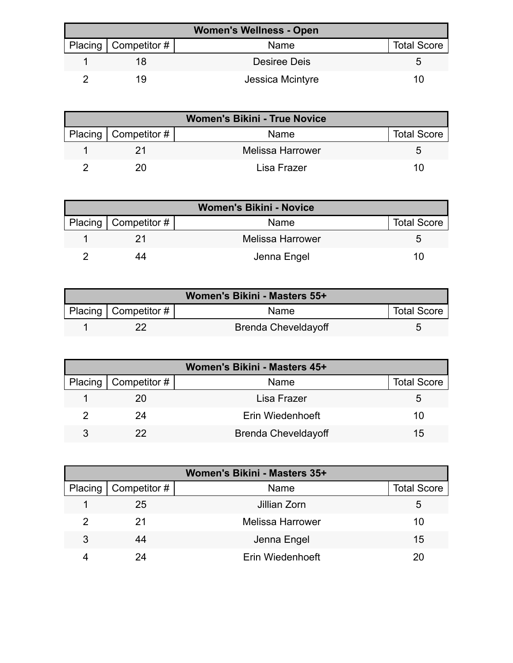| <b>Women's Wellness - Open</b> |                        |                  |                    |  |
|--------------------------------|------------------------|------------------|--------------------|--|
|                                | Placing   Competitor # | Name             | <b>Total Score</b> |  |
|                                |                        | Desiree Deis     |                    |  |
|                                | 1 Q                    | Jessica Mcintyre | 10                 |  |

| <b>Women's Bikini - True Novice</b> |                          |                         |                    |  |
|-------------------------------------|--------------------------|-------------------------|--------------------|--|
|                                     | Placing   Competitor $#$ | Name                    | <b>Total Score</b> |  |
|                                     |                          | <b>Melissa Harrower</b> |                    |  |
|                                     |                          | Lisa Frazer             | 10                 |  |

| <b>Women's Bikini - Novice</b> |                        |                         |                    |  |
|--------------------------------|------------------------|-------------------------|--------------------|--|
|                                | Placing   Competitor # | Name                    | <b>Total Score</b> |  |
|                                |                        | <b>Melissa Harrower</b> |                    |  |
|                                | 44                     | Jenna Engel             | 10                 |  |

| Women's Bikini - Masters 55+ |                        |                            |                    |  |
|------------------------------|------------------------|----------------------------|--------------------|--|
|                              | Placing   Competitor # | <b>Name</b>                | <b>Total Score</b> |  |
|                              |                        | <b>Brenda Cheveldayoff</b> |                    |  |

| Women's Bikini - Masters 45+ |                              |                            |                    |  |
|------------------------------|------------------------------|----------------------------|--------------------|--|
|                              | Placing $\vert$ Competitor # | Name                       | <b>Total Score</b> |  |
|                              | 20                           | Lisa Frazer                |                    |  |
|                              | 24                           | Erin Wiedenhoeft           | 10                 |  |
|                              | 22                           | <b>Brenda Cheveldayoff</b> | 15                 |  |

| Women's Bikini - Masters 35+ |                     |                         |                    |  |
|------------------------------|---------------------|-------------------------|--------------------|--|
| Placing                      | $\mid$ Competitor # | Name                    | <b>Total Score</b> |  |
|                              | 25                  | Jillian Zorn            | 5                  |  |
|                              | 21                  | <b>Melissa Harrower</b> | 10                 |  |
| 3                            | 44                  | Jenna Engel             | 15                 |  |
|                              | 24                  | Erin Wiedenhoeft        | 20                 |  |